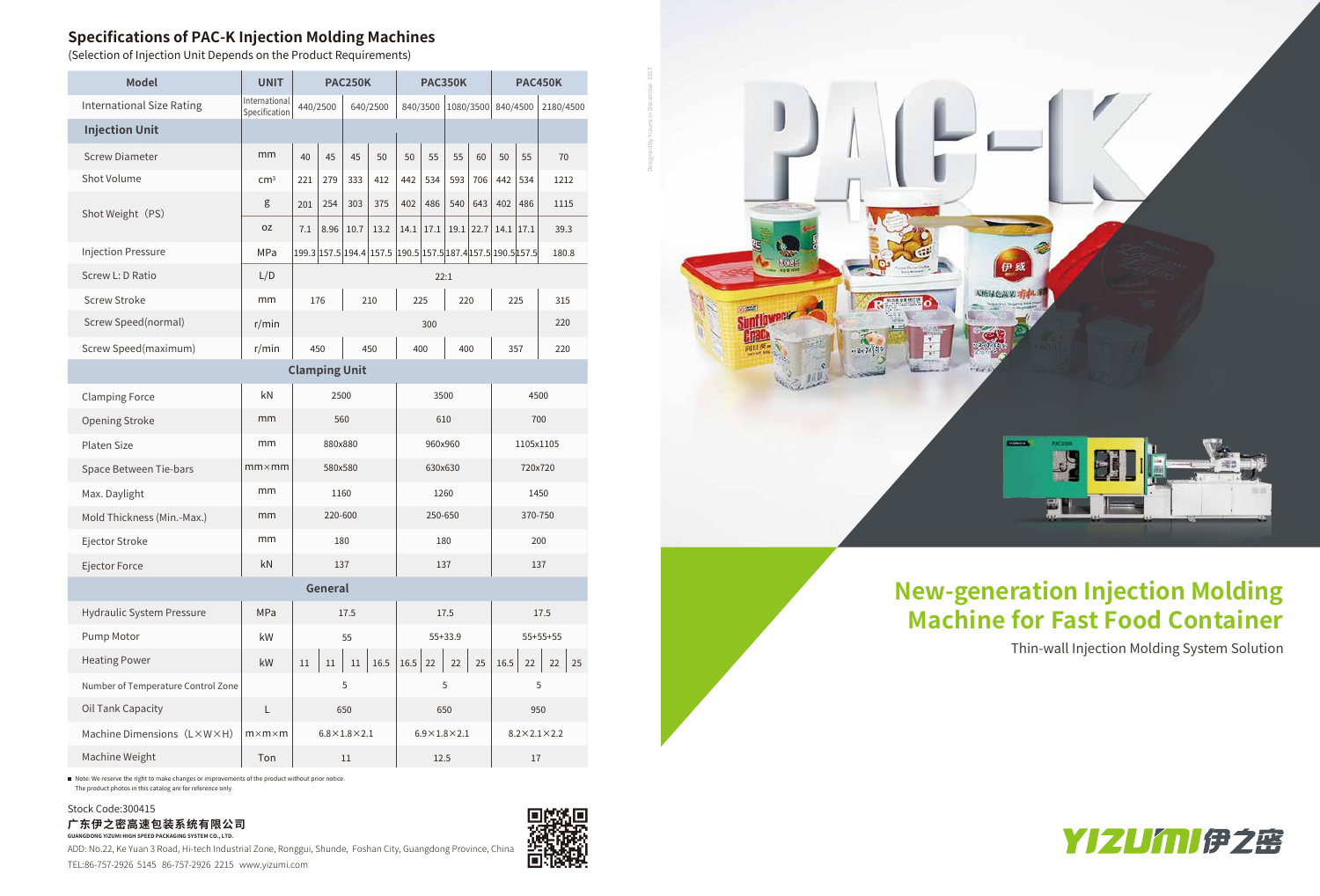

### **Specifications of PAC-K Injection Molding Machines**

■ Note: We reserve the right to make changes or improvements of the product without prior notice The product photos in this catalog are for reference only.

(Selection of Injection Unit Depends on the Product Requirements)

ADD: No.22, Ke Yuan 3 Road, Hi-tech Industrial Zone, Ronggui, Shunde, Foshan City, Guangdong Province, China TEL:86-757-2926 5145 86-757-2926 2215 www.yizumi.com



| <b>Model</b>                       | <b>UNIT</b>                    | <b>PAC250K</b>          |      |                       | <b>PAC350K</b>                                              |            |           | <b>PAC450K</b>              |      |             |     |          |
|------------------------------------|--------------------------------|-------------------------|------|-----------------------|-------------------------------------------------------------|------------|-----------|-----------------------------|------|-------------|-----|----------|
| <b>International Size Rating</b>   | International<br>Specification | 440/2500<br>640/2500    |      | 1080/3500<br>840/3500 |                                                             | 840/4500   |           | 2180/4500                   |      |             |     |          |
| <b>Injection Unit</b>              |                                |                         |      |                       |                                                             |            |           |                             |      |             |     |          |
| <b>Screw Diameter</b>              | mm                             | 40                      | 45   | 45                    | 50                                                          | 50         | 55        | 55                          | 60   | 50          | 55  | 70       |
| Shot Volume                        | cm <sup>3</sup>                | 221                     | 279  | 333                   | 412                                                         | 442        | 534       | 593                         | 706  | 442         | 534 | 1212     |
| Shot Weight (PS)                   | g                              | 201                     | 254  | 303                   | 375                                                         | 402        | 486       | 540                         | 643  | 402         | 486 | 1115     |
|                                    | 0Z                             | 7.1                     | 8.96 | 10.7                  | 13.2                                                        | 14.1       | 17.1      | 19.1                        | 22.7 | $14.1$ 17.1 |     | 39.3     |
| <b>Injection Pressure</b>          | MPa                            |                         |      |                       | 199.3 157.5 194.4 157.5 190.5 157.5 187.4 157.5 190.5 157.5 |            |           |                             |      |             |     | 180.8    |
| Screw L: D Ratio                   | L/D                            | 22:1                    |      |                       |                                                             |            |           |                             |      |             |     |          |
| <b>Screw Stroke</b>                | mm                             | 176<br>210              |      |                       | 225<br>220                                                  |            |           | 225                         |      | 315         |     |          |
| Screw Speed(normal)                | r/min                          |                         |      |                       |                                                             | 300        |           |                             |      |             | 220 |          |
| Screw Speed(maximum)               | r/min                          | 450<br>450              |      |                       | 400                                                         |            | 400       |                             | 357  |             | 220 |          |
| <b>Clamping Unit</b>               |                                |                         |      |                       |                                                             |            |           |                             |      |             |     |          |
| <b>Clamping Force</b>              | kN                             | 2500                    |      | 3500                  |                                                             | 4500       |           |                             |      |             |     |          |
| <b>Opening Stroke</b>              | mm                             | 560                     |      |                       | 610                                                         |            | 700       |                             |      |             |     |          |
| Platen Size                        | mm                             | 880x880                 |      |                       | 960x960                                                     |            | 1105x1105 |                             |      |             |     |          |
| Space Between Tie-bars             | $mm \times mm$                 | 580x580                 |      |                       | 630x630                                                     |            | 720x720   |                             |      |             |     |          |
| Max. Daylight                      | mm                             | 1160                    |      |                       | 1260                                                        |            |           |                             |      | 1450        |     |          |
| Mold Thickness (Min.-Max.)         | mm                             | 220-600                 |      |                       | 250-650                                                     |            |           | 370-750                     |      |             |     |          |
| Ejector Stroke                     | mm                             | 180                     |      |                       | 180                                                         |            |           | 200                         |      |             |     |          |
| Ejector Force                      | kN                             | 137                     |      |                       | 137                                                         |            |           | 137                         |      |             |     |          |
| General                            |                                |                         |      |                       |                                                             |            |           |                             |      |             |     |          |
| <b>Hydraulic System Pressure</b>   | MPa                            | 17.5                    |      | 17.5                  |                                                             | 17.5       |           |                             |      |             |     |          |
| Pump Motor                         | kW                             | 55                      |      | 55+33.9               |                                                             | $55+55+55$ |           |                             |      |             |     |          |
| <b>Heating Power</b>               | kW                             | 11                      | 11   | 11                    | 16.5                                                        | 16.5       | 22        | 22                          | 25   | 16.5        | 22  | 22<br>25 |
| Number of Temperature Control Zone |                                |                         |      | 5                     |                                                             | 5          |           | 5                           |      |             |     |          |
| Oil Tank Capacity                  | L                              | 650                     |      |                       | 650                                                         |            |           | 950                         |      |             |     |          |
| Machine Dimensions (L×W×H)         | $m \times m \times m$          | $6.8\times1.8\times2.1$ |      |                       | $6.9\times1.8\times2.1$                                     |            |           | $8.2 \times 2.1 \times 2.2$ |      |             |     |          |
| Machine Weight                     | Ton                            | 11                      |      |                       | 12.5                                                        |            |           | 17                          |      |             |     |          |

#### **广东伊之密高速包装系统有限公司 GUANGDONG YIZUMI HIGH SPEED PACKAGING SYSTEM CO., LTD.** Stock Code:300415

# **New-generation Injection Molding Machine for Fast Food Container**

Thin-wall Injection Molding System Solution

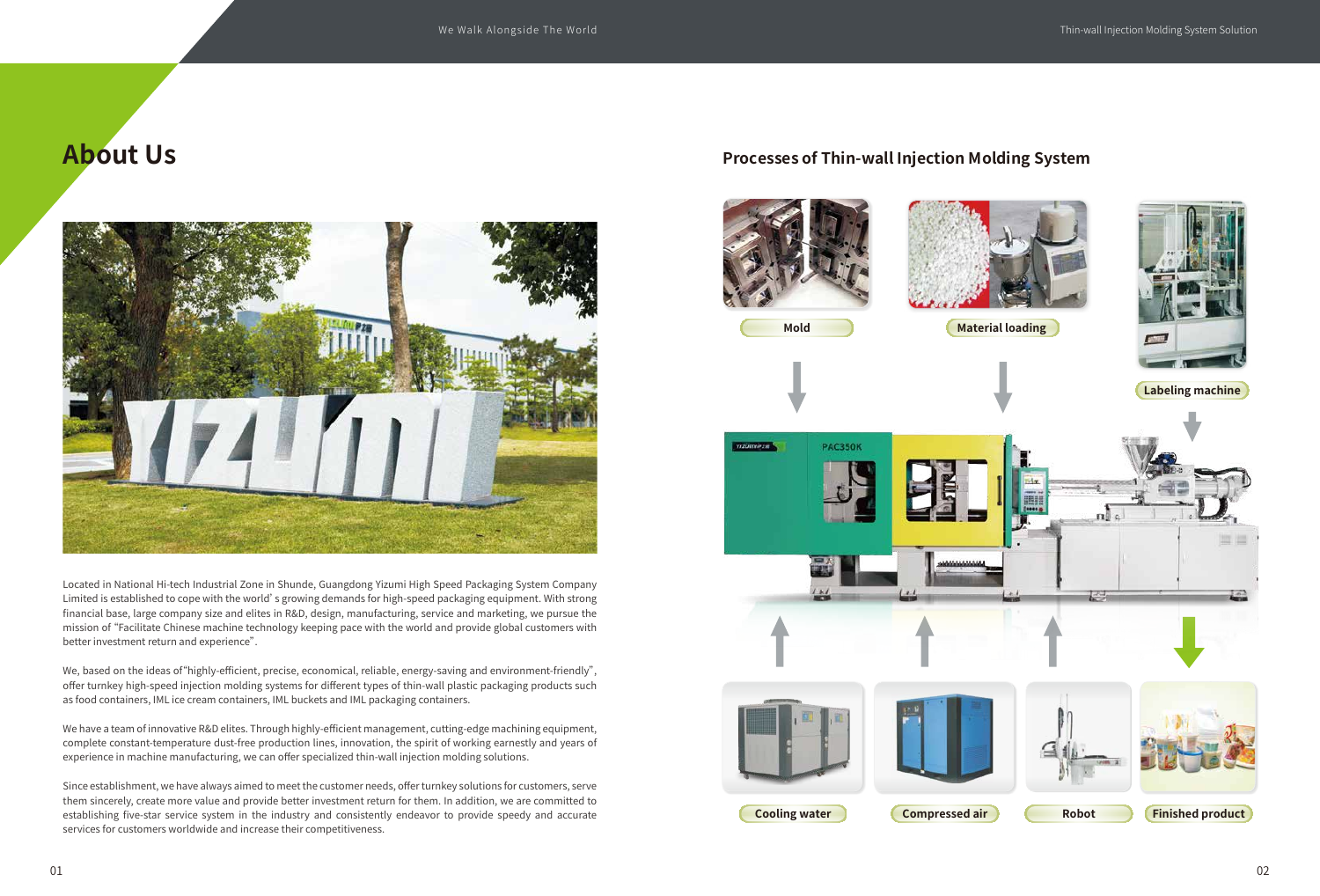# **About Us**

Located in National Hi-tech Industrial Zone in Shunde, Guangdong Yizumi High Speed Packaging System Company Limited is established to cope with the world's growing demands for high-speed packaging equipment. With strong financial base, large company size and elites in R&D, design, manufacturing, service and marketing, we pursue the mission of "Facilitate Chinese machine technology keeping pace with the world and provide global customers with better investment return and experience".

We, based on the ideas of"highly-efficient, precise, economical, reliable, energy-saving and environment-friendly", offer turnkey high-speed injection molding systems for different types of thin-wall plastic packaging products such as food containers, IML ice cream containers, IML buckets and IML packaging containers.

We have a team of innovative R&D elites. Through highly-efficient management, cutting-edge machining equipment, complete constant-temperature dust-free production lines, innovation, the spirit of working earnestly and years of experience in machine manufacturing, we can offer specialized thin-wall injection molding solutions.

Since establishment, we have always aimed to meet the customer needs, offer turnkey solutions for customers, serve them sincerely, create more value and provide better investment return for them. In addition, we are committed to establishing five-star service system in the industry and consistently endeavor to provide speedy and accurate services for customers worldwide and increase their competitiveness.

#### **Processes of Thin-wall Injection Molding System**















**Material loading** 



**Labeling machine**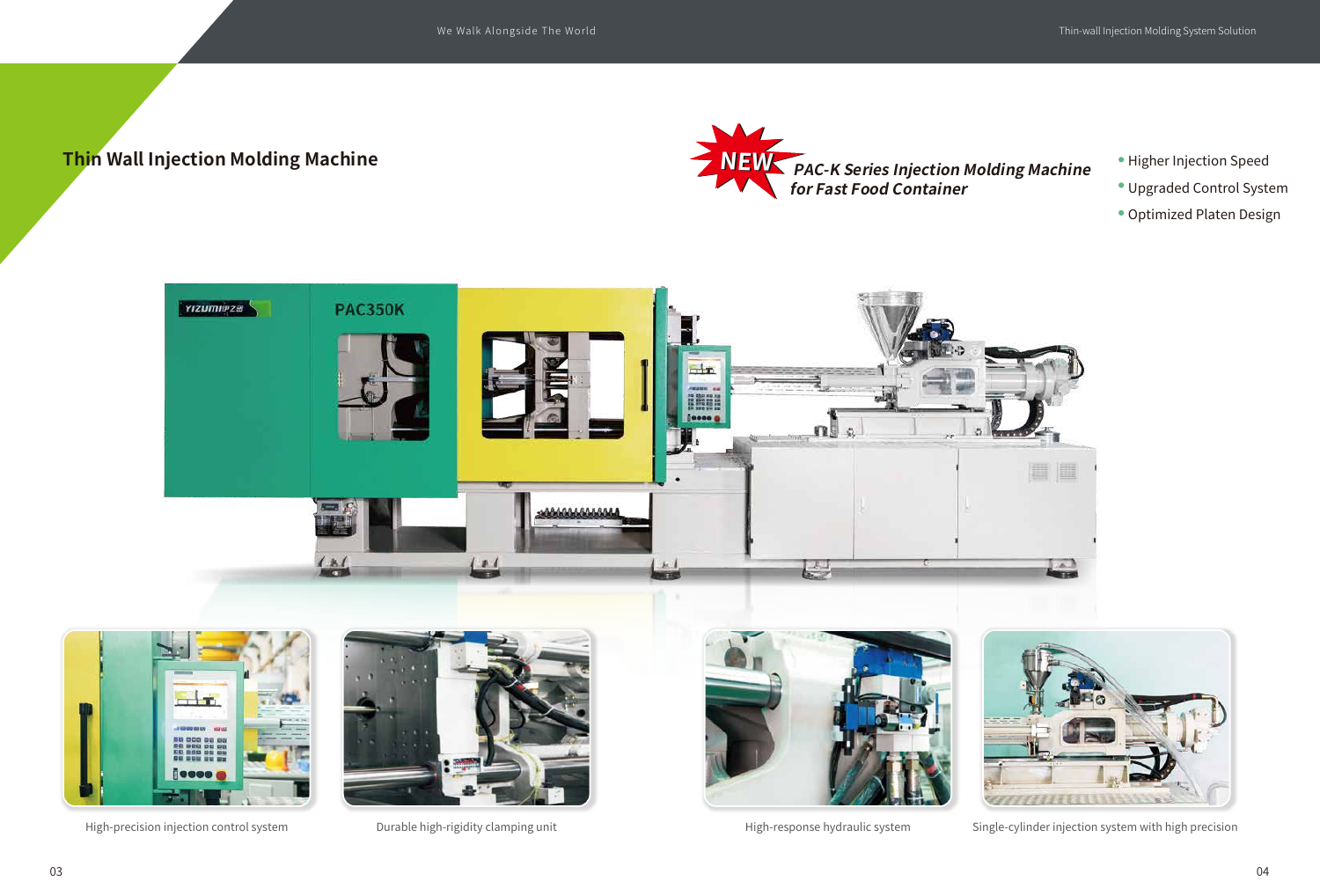- Higher Injection Speed
- Upgraded Control System
- Optimized Platen Design



High-precision injection control system **Durable high-rigidity clamping unit** High-response hydraulic system Single-cylinder injection system with high precision











## **Thin Wall Injection Molding Machine**